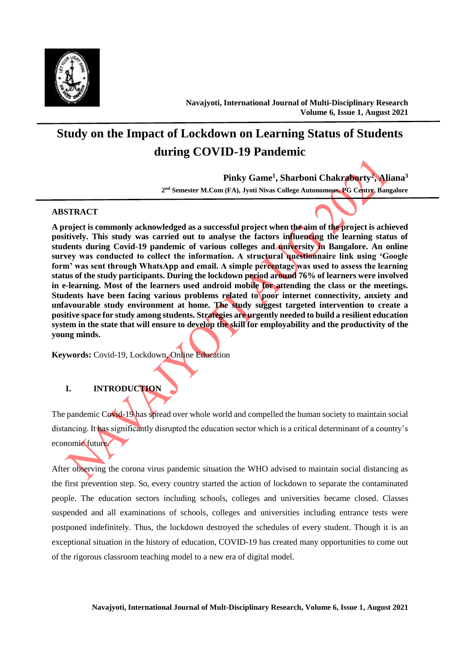

# **Study on the Impact of Lockdown on Learning Status of Students during COVID-19 Pandemic**

**Pinky Game<sup>1</sup> , Sharboni Chakraborty<sup>2</sup> , Aliana<sup>3</sup>**

**2 nd Semester M.Com (FA), Jyoti Nivas College Autonomous, PG Centre, Bangalore**

## **ABSTRACT**

**A project is commonly acknowledged as a successful project when the aim of the project is achieved positively. This study was carried out to analyse the factors influencing the learning status of students during Covid-19 pandemic of various colleges and university in Bangalore. An online survey was conducted to collect the information. A structural questionnaire link using 'Google form' was sent through WhatsApp and email. A simple percentage was used to assess the learning status of the study participants. During the lockdown period around 76% of learners were involved in e-learning. Most of the learners used android mobile for attending the class or the meetings. Students have been facing various problems related to poor internet connectivity, anxiety and unfavourable study environment at home. The study suggest targeted intervention to create a positive space for study among students. Strategies are urgently needed to build a resilient education system in the state that will ensure to develop the skill for employability and the productivity of the young minds.**

**Keywords:** Covid-19, Lockdown, Online Education

# **I. INTRODUCTION**

The pandemic Covid-19 has spread over whole world and compelled the human society to maintain social distancing. It has significantly disrupted the education sector which is a critical determinant of a country's economic future.

After observing the corona virus pandemic situation the WHO advised to maintain social distancing as the first prevention step. So, every country started the action of lockdown to separate the contaminated people. The education sectors including schools, colleges and universities became closed. Classes suspended and all examinations of schools, colleges and universities including entrance tests were postponed indefinitely. Thus, the lockdown destroyed the schedules of every student. Though it is an exceptional situation in the history of education, COVID-19 has created many opportunities to come out of the rigorous classroom teaching model to a new era of digital model.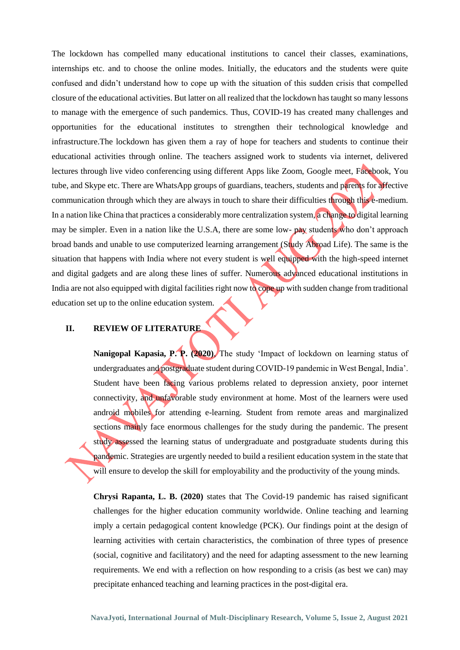The lockdown has compelled many educational institutions to cancel their classes, examinations, internships etc. and to choose the online modes. Initially, the educators and the students were quite confused and didn't understand how to cope up with the situation of this sudden crisis that compelled closure of the educational activities. But latter on all realized that the lockdown has taught so many lessons to manage with the emergence of such pandemics. Thus, COVID-19 has created many challenges and opportunities for the educational institutes to strengthen their technological knowledge and infrastructure.The lockdown has given them a ray of hope for teachers and students to continue their educational activities through online. The teachers assigned work to students via internet, delivered lectures through live video conferencing using different Apps like Zoom, Google meet, Facebook, You tube, and Skype etc. There are WhatsApp groups of guardians, teachers, students and parents for affective communication through which they are always in touch to share their difficulties through this e-medium. In a nation like China that practices a considerably more centralization system, a change to digital learning may be simpler. Even in a nation like the U.S.A, there are some low- pay students who don't approach broad bands and unable to use computerized learning arrangement (Study Abroad Life). The same is the situation that happens with India where not every student is well equipped with the high-speed internet and digital gadgets and are along these lines of suffer. Numerous advanced educational institutions in India are not also equipped with digital facilities right now to cope up with sudden change from traditional education set up to the online education system.

# **II. REVIEW OF LITERATURE**

**Nanigopal Kapasia, P. P. (2020)**, The study 'Impact of lockdown on learning status of undergraduates and postgraduate student during COVID-19 pandemic in West Bengal, India'. Student have been facing various problems related to depression anxiety, poor internet connectivity, and unfavorable study environment at home. Most of the learners were used android mobiles for attending e-learning. Student from remote areas and marginalized sections mainly face enormous challenges for the study during the pandemic. The present study assessed the learning status of undergraduate and postgraduate students during this pandemic. Strategies are urgently needed to build a resilient education system in the state that will ensure to develop the skill for employability and the productivity of the young minds.

**Chrysi Rapanta, L. B. (2020)** states that The Covid-19 pandemic has raised significant challenges for the higher education community worldwide. Online teaching and learning imply a certain pedagogical content knowledge (PCK). Our findings point at the design of learning activities with certain characteristics, the combination of three types of presence (social, cognitive and facilitatory) and the need for adapting assessment to the new learning requirements. We end with a reflection on how responding to a crisis (as best we can) may precipitate enhanced teaching and learning practices in the post-digital era.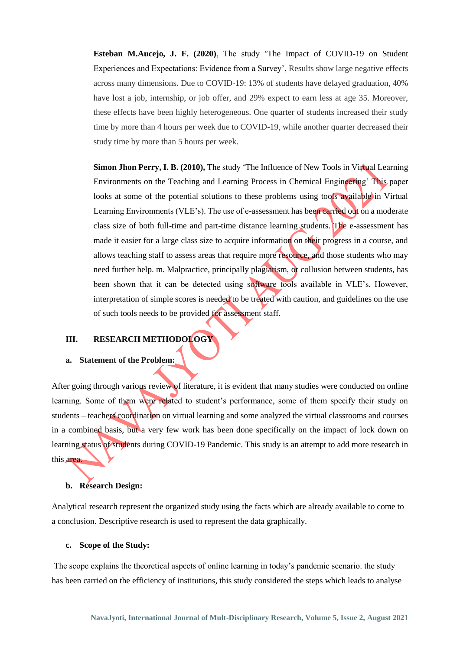**Esteban M.Aucejo, J. F. (2020)**, The study 'The Impact of COVID-19 on Student Experiences and Expectations: Evidence from a Survey', Results show large negative effects across many dimensions. Due to COVID-19: 13% of students have delayed graduation, 40% have lost a job, internship, or job offer, and 29% expect to earn less at age 35. Moreover, these effects have been highly heterogeneous. One quarter of students increased their study time by more than 4 hours per week due to COVID-19, while another quarter decreased their study time by more than 5 hours per week.

**Simon Jhon Perry, I. B. (2010),** The study 'The Influence of New Tools in Virtual Learning Environments on the Teaching and Learning Process in Chemical Engineering' This paper looks at some of the potential solutions to these problems using tools available in Virtual Learning Environments (VLE's). The use of e-assessment has been carried out on a moderate class size of both full-time and part-time distance learning students. The e-assessment has made it easier for a large class size to acquire information on their progress in a course, and allows teaching staff to assess areas that require more resource, and those students who may need further help. m. Malpractice, principally plagiarism, or collusion between students, has been shown that it can be detected using software tools available in VLE's. However, interpretation of simple scores is needed to be treated with caution, and guidelines on the use of such tools needs to be provided for assessment staff.

### **III. RESEARCH METHODOLOGY**

#### **a. Statement of the Problem:**

After going through various review of literature, it is evident that many studies were conducted on online learning. Some of them were related to student's performance, some of them specify their study on students – teachers coordination on virtual learning and some analyzed the virtual classrooms and courses in a combined basis, but a very few work has been done specifically on the impact of lock down on learning status of students during COVID-19 Pandemic. This study is an attempt to add more research in this area.

#### **b. Research Design:**

Analytical research represent the organized study using the facts which are already available to come to a conclusion. Descriptive research is used to represent the data graphically.

### **c. Scope of the Study:**

The scope explains the theoretical aspects of online learning in today's pandemic scenario. the study has been carried on the efficiency of institutions, this study considered the steps which leads to analyse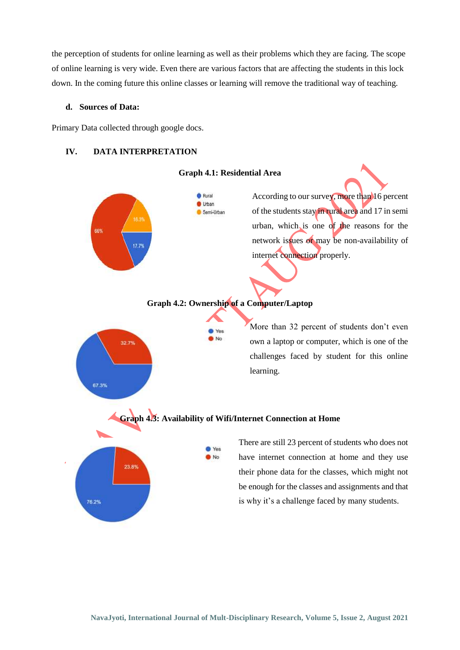the perception of students for online learning as well as their problems which they are facing. The scope of online learning is very wide. Even there are various factors that are affecting the students in this lock down. In the coming future this online classes or learning will remove the traditional way of teaching.

## **d. Sources of Data:**

Primary Data collected through google docs.

## **IV. DATA INTERPRETATION**



#### **Graph 4.1: Residential Area**

Rural **D** Lirhan Semi-Urban According to our survey, more than 16 percent of the students stay in rural area and 17 in semi urban, which is one of the reasons for the network issues or may be non-availability of internet connection properly.

## **Graph 4.2: Ownership of a Computer/Laptop**



More than 32 percent of students don't even own a laptop or computer, which is one of the challenges faced by student for this online learning.

# **Graph 4.3: Availability of Wifi/Internet Connection at Home**

There are still 23 percent of students who does not have internet connection at home and they use their phone data for the classes, which might not be enough for the classes and assignments and that is why it's a challenge faced by many students.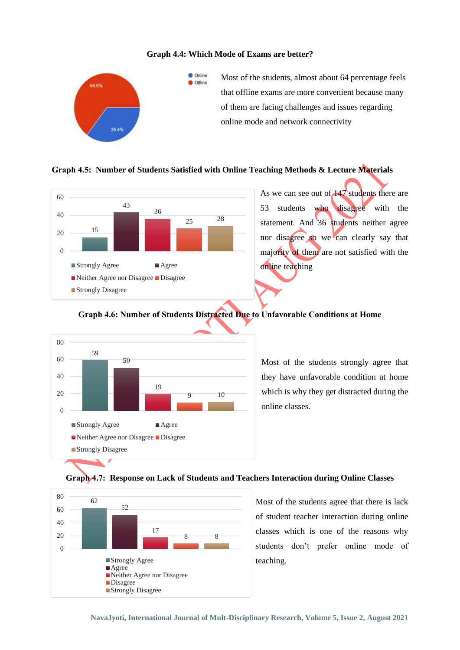#### **Graph 4.4: Which Mode of Exams are better?**



Most of the students, almost about 64 percentage feels that offline exams are more convenient because many of them are facing challenges and issues regarding online mode and network connectivity

# **Grарh 4.5: Number of Students Satisfied with Online Teaching Methods & Lecture Materials**



As we can see out of 147 students there are 53 students who disagree with the statement. And 36 students neither agree nor disagree so we can clearly say that majority of them are not satisfied with the online teaching



#### **Grарh 4.6: Number of Students Distracted Due to Unfavorable Conditions at Home**

Most of the students strongly agree that they have unfavorable condition at home which is why they get distracted during the online classes.





Most of the students agree that there is lack of student teacher interaction during online classes which is one of the reasons why students don't prefer online mode of teaching.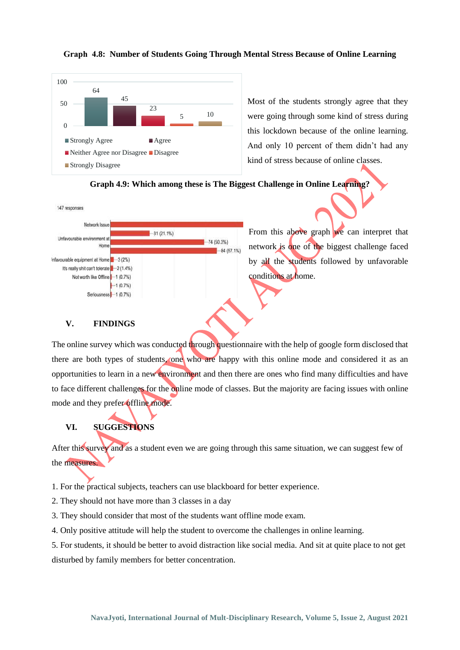

## **Grарh 4.8: Number of Students Going Through Mental Stress Because of Online Learning**

Most of the students strongly agree that they were going through some kind of stress during this lockdown because of the online learning. And only 10 percent of them didn't had any kind of stress because of online classes.

**Graph 4.9: Which among these is The Biggest Challenge in Online Learning?**



From this above graph we can interpret that network is one of the biggest challenge faced by all the students followed by unfavorable conditions at home.

## **V. FINDINGS**

The online survey which was conducted through questionnaire with the help of google form disclosed that there are both types of students, one who are happy with this online mode and considered it as an opportunities to learn in a new environment and then there are ones who find many difficulties and have to face different challenges for the online mode of classes. But the majority are facing issues with online mode and they prefer offline mode.

# **VI. SUGGESTIONS**

After this survey and as a student even we are going through this same situation, we can suggest few of the measures.

1. For the practical subjects, teachers can use blackboard for better experience.

2. They should not have more than 3 classes in a day

3. They should consider that most of the students want offline mode exam.

4. Only positive attitude will help the student to overcome the challenges in online learning.

5. For students, it should be better to avoid distraction like social media. And sit at quite place to not get disturbed by family members for better concentration.